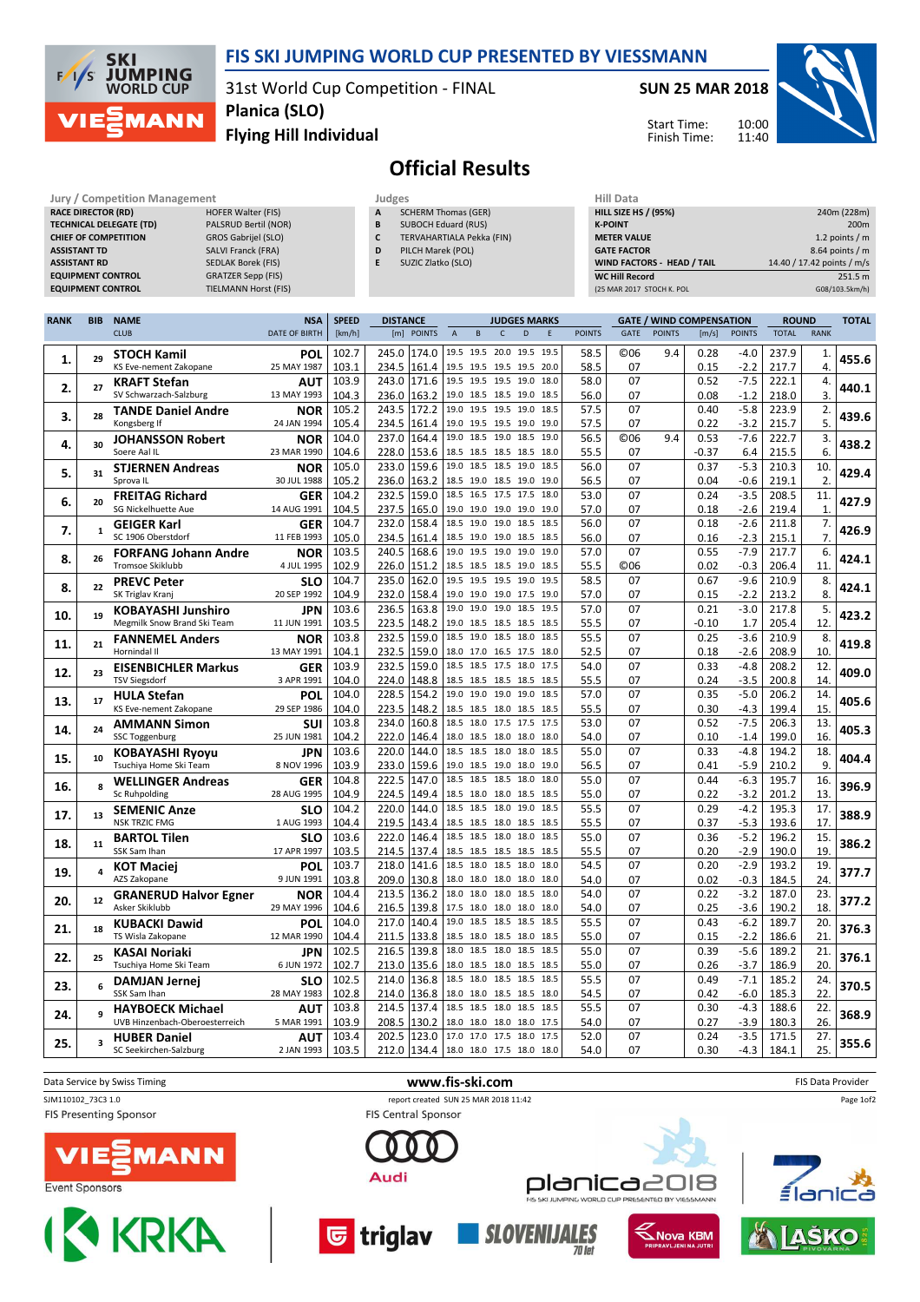

## FIS SKI JUMPING WORLD CUP PRESENTED BY VIESSMANN

31st World Cup Competition - FINAL Planica (SLO)

SUN 25 MAR 2018

Start Time: Finish Time:



Flying Hill Individual

## Official Results

| <b>Jury / Competition Management</b> |                             |   |               |  |  |  |  |
|--------------------------------------|-----------------------------|---|---------------|--|--|--|--|
| <b>RACE DIRECTOR (RD)</b>            | <b>HOFER Walter (FIS)</b>   | A | <sub>SC</sub> |  |  |  |  |
| <b>TECHNICAL DELEGATE (TD)</b>       | PALSRUD Bertil (NOR)        | B | SL.           |  |  |  |  |
| <b>CHIEF OF COMPETITION</b>          | GROS Gabrijel (SLO)         | C | TE            |  |  |  |  |
| <b>ASSISTANT TD</b>                  | <b>SALVI Franck (FRA)</b>   | D | PI            |  |  |  |  |
| <b>ASSISTANT RD</b>                  | <b>SEDLAK Borek (FIS)</b>   | E | SL.           |  |  |  |  |
| <b>EQUIPMENT CONTROL</b>             | <b>GRATZER Sepp (FIS)</b>   |   |               |  |  |  |  |
| <b>EQUIPMENT CONTROL</b>             | <b>TIELMANN Horst (FIS)</b> |   |               |  |  |  |  |

- SCHERM Thomas (GER)
- **B** SUBOCH Eduard (RUS)
- C TERVAHARTIALA Pekka (FIN) D PILCH Marek (POL)
- E SUZIC Zlatko (SLO)

| Hill Data                         |                            |
|-----------------------------------|----------------------------|
| <b>HILL SIZE HS / (95%)</b>       | 240m (228m)                |
| <b>K-POINT</b>                    | 200 <sub>m</sub>           |
| <b>METER VALUE</b>                | 1.2 points $/m$            |
| <b>GATE FACTOR</b>                | 8.64 points / m            |
| <b>WIND FACTORS - HEAD / TAIL</b> | 14.40 / 17.42 points / m/s |
| <b>WC Hill Record</b>             | 251.5 m                    |
| (25 MAR 2017 STOCH K. POL         | G08/103.5km/h)             |

10:00 11:40

| <b>RANK</b> | <b>BIB</b>   | <b>NAME</b>                    | <b>NSA</b>           | <b>SPEED</b> | <b>DISTANCE</b>                      |                |                          |              | <b>JUDGES MARKS</b> |             |               | <b>GATE / WIND COMPENSATION</b> |               |         |               | <b>ROUND</b> |              | <b>TOTAL</b> |
|-------------|--------------|--------------------------------|----------------------|--------------|--------------------------------------|----------------|--------------------------|--------------|---------------------|-------------|---------------|---------------------------------|---------------|---------|---------------|--------------|--------------|--------------|
|             |              | <b>CLUB</b>                    | <b>DATE OF BIRTH</b> | [km/h]       | [m] POINTS                           | $\overline{A}$ | $\sf{B}$                 | $\mathsf{C}$ | D                   | $\mathsf E$ | <b>POINTS</b> | GATE                            | <b>POINTS</b> | [m/s]   | <b>POINTS</b> | <b>TOTAL</b> | <b>RANK</b>  |              |
|             |              | <b>STOCH Kamil</b>             | <b>POL</b>           | 102.7        | 245.0<br>174.0                       | 19.5           | 19.5                     |              | 20.0 19.5 19.5      |             | 58.5          | ©06                             | 9.4           | 0.28    | $-4.0$        | 237.9        | $\mathbf{1}$ |              |
| 1.          | 29           | KS Eve-nement Zakopane         | 25 MAY 1987          | 103.1        | 234.5<br>161.4                       |                | 19.5 19.5 19.5 19.5 20.0 |              |                     |             | 58.5          | 07                              |               | 0.15    | $-2.2$        | 217.7        | 4.           | 455.6        |
|             |              | <b>KRAFT Stefan</b>            | <b>AUT</b>           | 103.9        | 171.6<br>243.0                       | 19.5           | 19.5                     | 19.5 19.0    |                     | 18.0        | 58.0          | 07                              |               | 0.52    | $-7.5$        | 222.1        | 4.           |              |
| 2.          | 27           | SV Schwarzach-Salzburg         | 13 MAY 1993          | 104.3        | 236.0<br>163.2                       |                | 19.0 18.5 18.5 19.0      |              |                     | 18.5        | 56.0          | 07                              |               | 0.08    | $-1.2$        | 218.0        | 3.           | 440.1        |
|             |              | <b>TANDE Daniel Andre</b>      | <b>NOR</b>           | 105.2        | 172.2<br>243.5                       | 19.0           | 19.5 19.5 19.0           |              |                     | 18.5        | 57.5          | 07                              |               | 0.40    | $-5.8$        | 223.9        | 2.           |              |
| 3.          | 28           | Kongsberg If                   | 24 JAN 1994          | 105.4        | 234.5<br>161.4                       |                | 19.0 19.5 19.5 19.0      |              |                     | 19.0        | 57.5          | 07                              |               | 0.22    | $-3.2$        | 215.7        | 5.           | 439.6        |
|             |              | <b>JOHANSSON Robert</b>        | <b>NOR</b>           | 104.0        | 237.0<br>164.4                       | 19.0           | 18.5 19.0 18.5           |              |                     | 19.0        | 56.5          | ©06                             | 9.4           | 0.53    | $-7.6$        | 222.7        | 3.           |              |
| 4.          | 30           | Soere Aal IL                   | 23 MAR 1990          | 104.6        | 153.6<br>228.0                       | 18.5           | 18.5 18.5 18.5           |              |                     | 18.0        | 55.5          | 07                              |               | $-0.37$ | 6.4           | 215.5        | 6.           | 438.2        |
|             |              | <b>STJERNEN Andreas</b>        | NOR                  | 105.0        | 233.0<br>159.6                       | 19.0           | 18.5                     | 18.5 19.0    |                     | 18.5        | 56.0          | 07                              |               | 0.37    | $-5.3$        | 210.3        | 10.          |              |
| 5.          | 31           | Sprova IL                      | 30 JUL 1988          | 105.2        | 236.0<br>163.2                       |                | 18.5 19.0 18.5 19.0 19.0 |              |                     |             | 56.5          | 07                              |               | 0.04    | $-0.6$        | 219.1        | 2.           | 429.4        |
|             |              | <b>FREITAG Richard</b>         | <b>GER</b>           | 104.2        | 232.5<br>159.0                       |                | 18.5 16.5 17.5 17.5 18.0 |              |                     |             | 53.0          | 07                              |               | 0.24    | $-3.5$        | 208.5        | 11.          |              |
| 6.          | 20           | <b>SG Nickelhuette Aue</b>     | 14 AUG 1991          | 104.5        | 237.5<br>165.0                       |                | 19.0 19.0 19.0 19.0 19.0 |              |                     |             | 57.0          | 07                              |               | 0.18    | $-2.6$        | 219.4        | $\mathbf{1}$ | 427.9        |
|             |              | <b>GEIGER Karl</b>             | <b>GER</b>           | 104.7        | 232.0<br>158.4                       | 18.5           | 19.0 19.0 18.5           |              |                     | 18.5        | 56.0          | 07                              |               | 0.18    | $-2.6$        | 211.8        | 7.           |              |
| 7.          | $\mathbf{1}$ | SC 1906 Oberstdorf             | 11 FEB 1993          | 105.0        | 234.5<br>161.4                       |                | 18.5 19.0 19.0 18.5 18.5 |              |                     |             | 56.0          | 07                              |               | 0.16    | $-2.3$        | 215.1        | 7.           | 426.9        |
|             |              | <b>FORFANG Johann Andre</b>    | <b>NOR</b>           | 103.5        | 168.6<br>240.5                       | 19.0           | 19.5                     | 19.0         | 19.0                | 19.0        | 57.0          | $\overline{07}$                 |               | 0.55    | $-7.9$        | 217.7        | 6.           |              |
| 8.          | 26           | Tromsoe Skiklubb               | 4 JUL 1995           | 102.9        | 151.2<br>226.0                       |                | 18.5 18.5 18.5 19.0      |              |                     | 18.5        | 55.5          | <b>©06</b>                      |               | 0.02    | -0.3          | 206.4        | 11           | 424.1        |
|             |              | <b>PREVC Peter</b>             | SLO                  | 104.7        | 235.0<br>162.0                       |                | 19.5 19.5 19.5 19.0 19.5 |              |                     |             | 58.5          | 07                              |               | 0.67    | $-9.6$        | 210.9        | 8.           |              |
| 8.          | 22           | SK Triglav Kranj               | 20 SEP 1992          | 104.9        | 232.0<br>158.4                       |                | 19.0 19.0 19.0 17.5 19.0 |              |                     |             | 57.0          | 07                              |               | 0.15    | $-2.2$        | 213.2        | 8.           | 424.1        |
|             |              | <b>KOBAYASHI Junshiro</b>      | <b>JPN</b>           | 103.6        | 236.5<br>163.8                       | 19.0           | 19.0                     | 19.0 18.5    |                     | 19.5        | 57.0          | 07                              |               | 0.21    | $-3.0$        | 217.8        | 5.           |              |
| 10.         | 19           | Megmilk Snow Brand Ski Team    | 11 JUN 1991          | 103.5        | 223.5<br>148.2                       |                | 19.0 18.5 18.5 18.5 18.5 |              |                     |             | 55.5          | 07                              |               | $-0.10$ | 1.7           | 205.4        | 12           | 423.2        |
|             |              | <b>FANNEMEL Anders</b>         | <b>NOR</b>           | 103.8        | 232.5<br>159.0                       | 18.5           | 19.0                     | 18.5 18.0    |                     | 18.5        | 55.5          | 07                              |               | 0.25    | $-3.6$        | 210.9        | 8.           |              |
| 11.         | 21           | Hornindal II                   | 13 MAY 1991          | 104.1        | 232.5<br>159.0                       | 18.0           | 17.0 16.5 17.5 18.0      |              |                     |             | 52.5          | 07                              |               | 0.18    | $-2.6$        | 208.9        | 10           | 419.8        |
|             | 23           | <b>EISENBICHLER Markus</b>     | <b>GER</b>           | 103.9        | 232.5<br>159.0                       |                | 18.5 18.5 17.5 18.0 17.5 |              |                     |             | 54.0          | 07                              |               | 0.33    | $-4.8$        | 208.2        | 12           |              |
| 12.         |              | <b>TSV Siegsdorf</b>           | 3 APR 1991           | 104.0        | 224.0<br>148.8                       |                | 18.5 18.5 18.5 18.5 18.5 |              |                     |             | 55.5          | 07                              |               | 0.24    | $-3.5$        | 200.8        | 14.          | 409.0        |
| 13.         | 17           | <b>HULA Stefan</b>             | POL                  | 104.0        | 154.2<br>228.5                       | 19.0           | 19.0 19.0 19.0           |              |                     | 18.5        | 57.0          | 07                              |               | 0.35    | $-5.0$        | 206.2        | 14.          | 405.6        |
|             |              | KS Eve-nement Zakopane         | 29 SEP 1986          | 104.0        | 223.5<br>148.2                       |                | 18.5 18.5 18.0 18.5 18.5 |              |                     |             | 55.5          | 07                              |               | 0.30    | $-4.3$        | 199.4        | 15.          |              |
| 14.         | 24           | <b>AMMANN Simon</b>            | SUI                  | 103.8        | 160.8<br>234.0                       | 18.5           | 18.0                     | 17.5 17.5    |                     | 17.5        | 53.0          | 07                              |               | 0.52    | $-7.5$        | 206.3        | 13.          | 405.3        |
|             |              | <b>SSC Toggenburg</b>          | 25 JUN 1981          | 104.2        | 222.0<br>146.4                       | 18.0           | 18.5 18.0 18.0           |              |                     | 18.0        | 54.0          | 07                              |               | 0.10    | $-1.4$        | 199.0        | 16           |              |
| 15.         | 10           | <b>KOBAYASHI Ryoyu</b>         | <b>JPN</b>           | 103.6        | 220.0<br>144.0                       |                | 18.5 18.5 18.0 18.0 18.5 |              |                     |             | 55.0          | 07                              |               | 0.33    | $-4.8$        | 194.2        | 18.          | 404.4        |
|             |              | Tsuchiya Home Ski Team         | 8 NOV 1996           | 103.9        | 233.0<br>159.6                       |                | 19.0 18.5 19.0 18.0      |              |                     | 19.0        | 56.5          | 07                              |               | 0.41    | $-5.9$        | 210.2        | 9.           |              |
| 16.         | $\mathbf{R}$ | <b>WELLINGER Andreas</b>       | <b>GER</b>           | 104.8        | 222.5<br>147.0                       | 18.5           | 18.5                     | 18.5 18.0    |                     | 18.0        | 55.0          | 07                              |               | 0.44    | $-6.3$        | 195.7        | 16.          | 396.9        |
|             |              | Sc Ruhpolding                  | 28 AUG 1995          | 104.9        | 224.5<br>149.4                       |                | 18.5 18.0 18.0 18.5 18.5 |              |                     |             | 55.0          | 07                              |               | 0.22    | $-3.2$        | 201.2        | 13.          |              |
| 17.         | 13           | <b>SEMENIC Anze</b>            | <b>SLO</b>           | 104.2        | 220.0<br>144.0                       | 18.5           | 18.5                     | 18.0         | 19.0                | 18.5        | 55.5          | 07                              |               | 0.29    | $-4.2$        | 195.3        | 17.          | 388.9        |
|             |              | <b>NSK TRZIC FMG</b>           | 1 AUG 1993           | 104.4        | 219.5<br>143.4                       |                | 18.5 18.5 18.0 18.5      |              |                     | 18.5        | 55.5          | 07                              |               | 0.37    | $-5.3$        | 193.6        | 17           |              |
| 18.         | 11           | <b>BARTOL Tilen</b>            | SLO                  | 103.6        | 222.0<br>146.4                       |                | 18.5 18.5 18.0 18.0 18.5 |              |                     |             | 55.0          | 07                              |               | 0.36    | $-5.2$        | 196.2        | 15.          | 386.2        |
|             |              | SSK Sam Ihan                   | 17 APR 1997          | 103.5        | 214.5<br>137.4                       |                | 18.5 18.5 18.5 18.5 18.5 |              |                     |             | 55.5          | 07                              |               | 0.20    | $-2.9$        | 190.0        | 19           |              |
| 19.         | 4            | <b>KOT Maciej</b>              | POL                  | 103.7        | 218.0<br>141.6                       | 18.5           | 18.0                     | 18.5 18.0    |                     | 18.0        | 54.5          | 07                              |               | 0.20    | $-2.9$        | 193.2        | 19           | 377.7        |
|             |              | AZS Zakopane                   | 9 JUN 1991           | 103.8        | 209.0<br>130.8                       |                | 18.0 18.0 18.0 18.0 18.0 |              |                     |             | 54.0          | 07                              |               | 0.02    | $-0.3$        | 184.5        | 24.          |              |
| 20.         | 12           | <b>GRANERUD Halvor Egner</b>   | <b>NOR</b>           | 104.4        | 136.2<br>213.5                       | 18.0           | 18.0                     | 18.0 18.5    |                     | 18.0        | 54.0          | 07                              |               | 0.22    | $-3.2$        | 187.0        | 23.          | 377.2        |
|             |              | Asker Skiklubb                 | 29 MAY 1996          | 104.6        | 216.5<br>139.8                       |                | 17.5 18.0 18.0 18.0 18.0 |              |                     |             | 54.0          | 07                              |               | 0.25    | $-3.6$        | 190.2        | 18           |              |
| 21.         | 18           | <b>KUBACKI Dawid</b>           | POL                  | 104.0        | 140.4<br>217.0                       |                | 19.0 18.5 18.5 18.5 18.5 |              |                     |             | 55.5          | 07                              |               | 0.43    | $-6.2$        | 189.7        | 20.          | 376.3        |
|             |              | TS Wisla Zakopane              | 12 MAR 1990          | 104.4        | 133.8<br>211.5                       |                | 18.5 18.0 18.5 18.0      |              |                     | 18.5        | 55.0          | 07                              |               | 0.15    | $-2.2$        | 186.6        | 21           |              |
| 22.         | 25           | <b>KASAI Noriaki</b>           | <b>JPN</b>           | 102.5        | 216.5<br>139.8                       | 18.0           | 18.5                     | 18.0 18.5    |                     | 18.5        | 55.0          | 07                              |               | 0.39    | $-5.6$        | 189.2        | 21.          | 376.1        |
|             |              | Tsuchiya Home Ski Team         | 6 JUN 1972           | 102.7        | 135.6<br>213.0                       |                | 18.0 18.5 18.0 18.5      |              |                     | 18.5        | 55.0          | 07                              |               | 0.26    | $-3.7$        | 186.9        | 20.          |              |
| 23.         | 6            | <b>DAMJAN Jernej</b>           | <b>SLO</b>           | 102.5        | 214.0<br>136.8                       | 18.5           | 18.0                     | 18.5         | 18.5                | 18.5        | 55.5          | 07                              |               | 0.49    | $-7.1$        | 185.2        | 24.          | 370.5        |
|             |              | SSK Sam Ihan                   | 28 MAY 1983          | 102.8        | 214.0<br>136.8                       | 18.0           | 18.0                     | 18.5 18.5    |                     | 18.0        | 54.5          | 07                              |               | 0.42    | $-6.0$        | 185.3        | 22           |              |
| 24.         |              | <b>HAYBOECK Michael</b>        | <b>AUT</b>           | 103.8        | 214.5<br>137.4                       |                | 18.5 18.5 18.0 18.5 18.5 |              |                     |             | 55.5          | 07                              |               | 0.30    | $-4.3$        | 188.6        | 22           | 368.9        |
|             |              | UVB Hinzenbach-Oberoesterreich | 5 MAR 1991           | 103.9        | 208.5<br>130.2                       |                | 18.0 18.0 18.0 18.0      |              |                     | 17.5        | 54.0          | 07                              |               | 0.27    | $-3.9$        | 180.3        | 26.          |              |
| 25.         | з            | <b>HUBER Daniel</b>            | <b>AUT</b>           | 103.4        | 123.0<br>202.5                       | 17.0           | 17.0 17.5                |              | 18.0                | 17.5        | 52.0          | 07                              |               | 0.24    | $-3.5$        | 171.5        | 27.          | 355.6        |
|             |              | SC Seekirchen-Salzburg         | 2 JAN 1993           | 103.5        | 212.0 134.4 18.0 18.0 17.5 18.0 18.0 |                |                          |              |                     |             | 54.0          | 07                              |               | 0.30    | $-4.3$        | 184.1        | 25.          |              |



 $70$  let